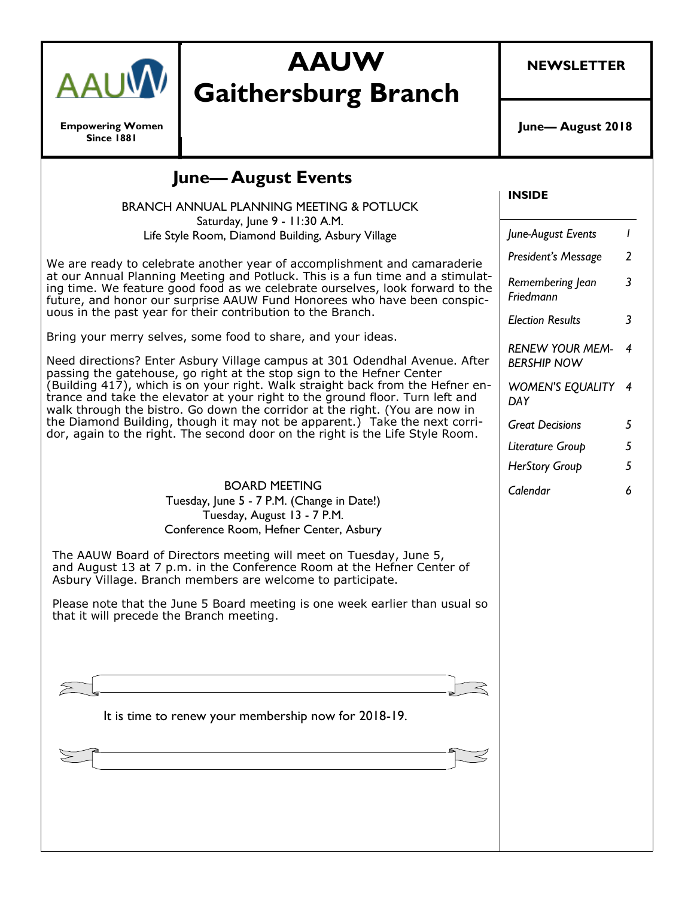

#### **Empowering Women Since 1881**

# **AAUW Gaithersburg Branch**

**NEWSLETTER**

**June— August 2018**

| <b>June-August Events</b><br>BRANCH ANNUAL PLANNING MEETING & POTLUCK                                                                                                                                                                                                                                                                                                                                                                                                                                                                               | <b>INSIDE</b>                                |   |
|-----------------------------------------------------------------------------------------------------------------------------------------------------------------------------------------------------------------------------------------------------------------------------------------------------------------------------------------------------------------------------------------------------------------------------------------------------------------------------------------------------------------------------------------------------|----------------------------------------------|---|
| Saturday, June 9 - 11:30 A.M.<br>Life Style Room, Diamond Building, Asbury Village                                                                                                                                                                                                                                                                                                                                                                                                                                                                  | June-August Events                           |   |
| We are ready to celebrate another year of accomplishment and camaraderie<br>at our Annual Planning Meeting and Potluck. This is a fun time and a stimulat-<br>ing time. We feature good food as we celebrate ourselves, look forward to the<br>future, and honor our surprise AAUW Fund Honorees who have been conspic-<br>uous in the past year for their contribution to the Branch.                                                                                                                                                              | President's Message                          | 2 |
|                                                                                                                                                                                                                                                                                                                                                                                                                                                                                                                                                     | Remembering Jean<br>Friedmann                | 3 |
|                                                                                                                                                                                                                                                                                                                                                                                                                                                                                                                                                     | <b>Election Results</b>                      | 3 |
| Bring your merry selves, some food to share, and your ideas.<br>Need directions? Enter Asbury Village campus at 301 Odendhal Avenue. After<br>passing the gatehouse, go right at the stop sign to the Hefner Center<br>(Building 417), which is on your right. Walk straight back from the Hefner en-<br>trance and take the elevator at your right to the ground floor. Turn left and<br>walk through the bistro. Go down the corridor at the right. (You are now in<br>the Diamond Building, though it may not be apparent.) Take the next corri- | <b>RENEW YOUR MEM-</b><br><b>BERSHIP NOW</b> | 4 |
|                                                                                                                                                                                                                                                                                                                                                                                                                                                                                                                                                     | <b>WOMEN'S EQUALITY 4</b><br>DAY             |   |
|                                                                                                                                                                                                                                                                                                                                                                                                                                                                                                                                                     | <b>Great Decisions</b>                       | 5 |
| dor, again to the right. The second door on the right is the Life Style Room.                                                                                                                                                                                                                                                                                                                                                                                                                                                                       | Literature Group                             | 5 |
|                                                                                                                                                                                                                                                                                                                                                                                                                                                                                                                                                     | HerStory Group                               | 5 |
| <b>BOARD MEETING</b><br>Tuesday, June 5 - 7 P.M. (Change in Date!)<br>Tuesday, August 13 - 7 P.M.<br>Conference Room, Hefner Center, Asbury                                                                                                                                                                                                                                                                                                                                                                                                         | Calendar                                     | 6 |
| The AAUW Board of Directors meeting will meet on Tuesday, June 5,<br>and August 13 at 7 p.m. in the Conference Room at the Hefner Center of<br>Asbury Village. Branch members are welcome to participate.                                                                                                                                                                                                                                                                                                                                           |                                              |   |
| Please note that the June 5 Board meeting is one week earlier than usual so<br>that it will precede the Branch meeting.                                                                                                                                                                                                                                                                                                                                                                                                                             |                                              |   |
|                                                                                                                                                                                                                                                                                                                                                                                                                                                                                                                                                     |                                              |   |
| It is time to renew your membership now for 2018-19.                                                                                                                                                                                                                                                                                                                                                                                                                                                                                                |                                              |   |
|                                                                                                                                                                                                                                                                                                                                                                                                                                                                                                                                                     |                                              |   |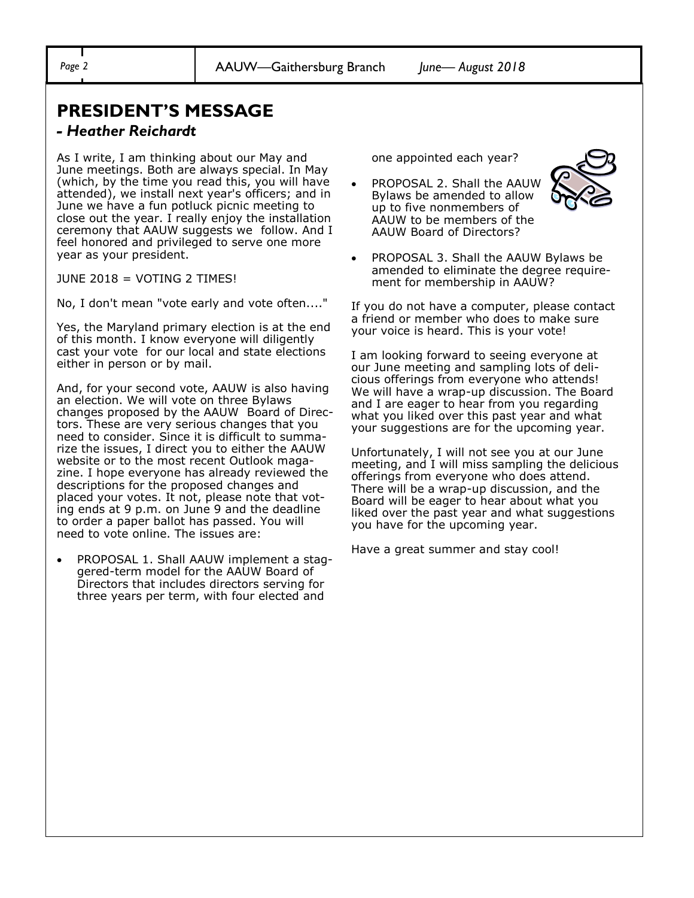## **PRESIDENT'S MESSAGE**

#### *- Heather Reichardt*

As I write, I am thinking about our May and June meetings. Both are always special. In May (which, by the time you read this, you will have attended), we install next year's officers; and in June we have a fun potluck picnic meeting to close out the year. I really enjoy the installation ceremony that AAUW suggests we follow. And I feel honored and privileged to serve one more year as your president.

JUNE 2018 = VOTING 2 TIMES!

No, I don't mean "vote early and vote often...."

Yes, the Maryland primary election is at the end of this month. I know everyone will diligently cast your vote for our local and state elections either in person or by mail.

And, for your second vote, AAUW is also having an election. We will vote on three Bylaws changes proposed by the AAUW Board of Directors. These are very serious changes that you need to consider. Since it is difficult to summarize the issues, I direct you to either the AAUW website or to the most recent Outlook magazine. I hope everyone has already reviewed the descriptions for the proposed changes and placed your votes. It not, please note that voting ends at 9 p.m. on June 9 and the deadline to order a paper ballot has passed. You will need to vote online. The issues are:

• PROPOSAL 1. Shall AAUW implement a staggered-term model for the AAUW Board of Directors that includes directors serving for three years per term, with four elected and

one appointed each year?

• PROPOSAL 2. Shall the AAUW Bylaws be amended to allow up to five nonmembers of AAUW to be members of the AAUW Board of Directors?



• PROPOSAL 3. Shall the AAUW Bylaws be amended to eliminate the degree requirement for membership in AAUW?

If you do not have a computer, please contact a friend or member who does to make sure your voice is heard. This is your vote!

I am looking forward to seeing everyone at our June meeting and sampling lots of delicious offerings from everyone who attends! We will have a wrap-up discussion. The Board and I are eager to hear from you regarding what you liked over this past year and what your suggestions are for the upcoming year.

Unfortunately, I will not see you at our June meeting, and I will miss sampling the delicious offerings from everyone who does attend. There will be a wrap-up discussion, and the Board will be eager to hear about what you liked over the past year and what suggestions you have for the upcoming year.

Have a great summer and stay cool!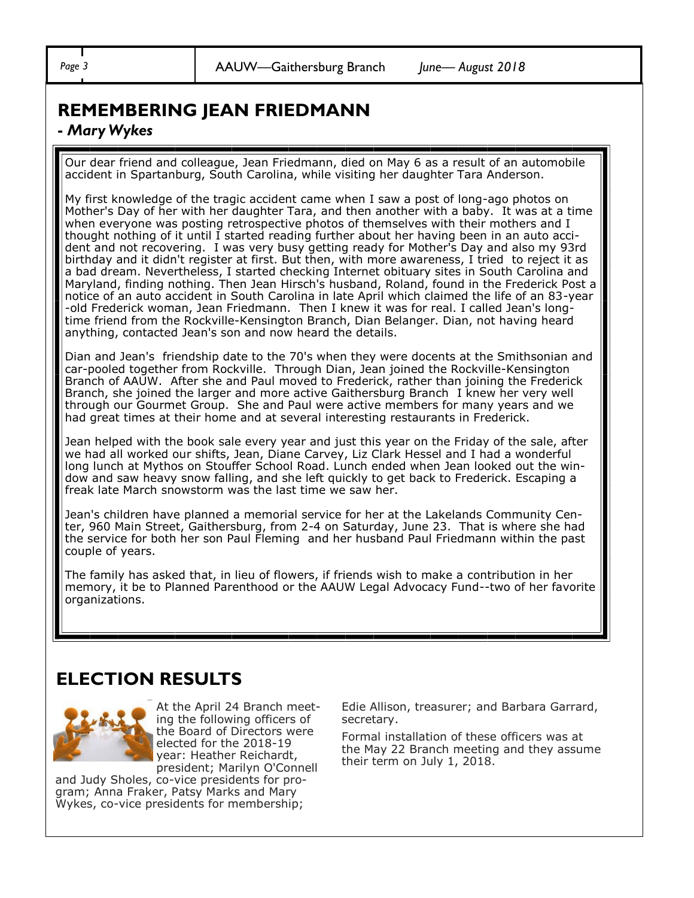### **REMEMBERING JEAN FRIEDMANN**

#### **-** *Mary Wykes*

Our dear friend and colleague, Jean Friedmann, died on May 6 as a result of an automobile accident in Spartanburg, South Carolina, while visiting her daughter Tara Anderson.

My first knowledge of the tragic accident came when I saw a post of long-ago photos on Mother's Day of her with her daughter Tara, and then another with a baby. It was at a time when everyone was posting retrospective photos of themselves with their mothers and I thought nothing of it until I started reading further about her having been in an auto accident and not recovering. I was very busy getting ready for Mother's Day and also my 93rd birthday and it didn't register at first. But then, with more awareness, I tried to reject it as a bad dream. Nevertheless, I started checking Internet obituary sites in South Carolina and Maryland, finding nothing. Then Jean Hirsch's husband, Roland, found in the Frederick Post a notice of an auto accident in South Carolina in late April which claimed the life of an 83-year -old Frederick woman, Jean Friedmann. Then I knew it was for real. I called Jean's longtime friend from the Rockville-Kensington Branch, Dian Belanger. Dian, not having heard anything, contacted Jean's son and now heard the details.

Dian and Jean's friendship date to the 70's when they were docents at the Smithsonian and car-pooled together from Rockville. Through Dian, Jean joined the Rockville-Kensington Branch of AAUW. After she and Paul moved to Frederick, rather than joining the Frederick Branch, she joined the larger and more active Gaithersburg Branch I knew her very well through our Gourmet Group. She and Paul were active members for many years and we had great times at their home and at several interesting restaurants in Frederick.

Jean helped with the book sale every year and just this year on the Friday of the sale, after we had all worked our shifts, Jean, Diane Carvey, Liz Clark Hessel and I had a wonderful long lunch at Mythos on Stouffer School Road. Lunch ended when Jean looked out the window and saw heavy snow falling, and she left quickly to get back to Frederick. Escaping a freak late March snowstorm was the last time we saw her.

Jean's children have planned a memorial service for her at the Lakelands Community Center, 960 Main Street, Gaithersburg, from 2-4 on Saturday, June 23. That is where she had the service for both her son Paul Fleming and her husband Paul Friedmann within the past couple of years.

The family has asked that, in lieu of flowers, if friends wish to make a contribution in her memory, it be to Planned Parenthood or the AAUW Legal Advocacy Fund--two of her favorite organizations.

## **ELECTION RESULTS**



At the April 24 Branch meeting the following officers of the Board of Directors were elected for the 2018-19 year: Heather Reichardt, president; Marilyn O'Connell

and Judy Sholes, co-vice presidents for program; Anna Fraker, Patsy Marks and Mary Wykes, co-vice presidents for membership;

Edie Allison, treasurer; and Barbara Garrard, secretary.

Formal installation of these officers was at the May 22 Branch meeting and they assume their term on July 1, 2018.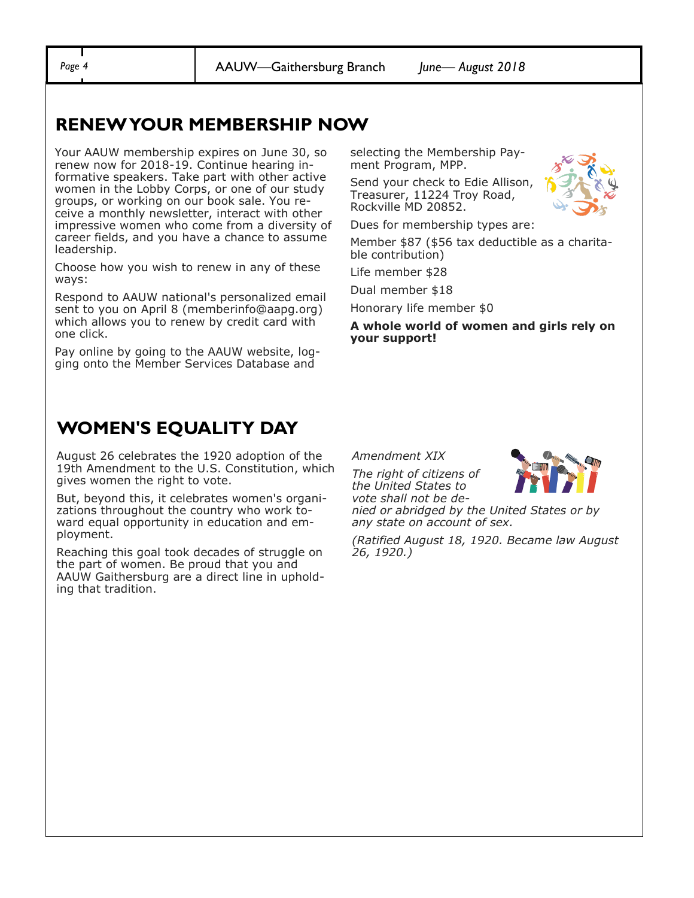*Page 4* AAUW—Gaithersburg Branch *June— August 2018*

### **RENEW YOUR MEMBERSHIP NOW**

Your AAUW membership expires on June 30, so renew now for 2018-19. Continue hearing informative speakers. Take part with other active women in the Lobby Corps, or one of our study groups, or working on our book sale. You receive a monthly newsletter, interact with other impressive women who come from a diversity of career fields, and you have a chance to assume leadership.

Choose how you wish to renew in any of these ways:

Respond to AAUW national's personalized email sent to you on April 8 (memberinfo@aapg.org) which allows you to renew by credit card with one click.

Pay online by going to the AAUW website, logging onto the Member Services Database and

selecting the Membership Payment Program, MPP.

Send your check to Edie Allison, Treasurer, 11224 Troy Road, Rockville MD 20852.

Dues for membership types are:

Member \$87 (\$56 tax deductible as a charitable contribution)

Life member \$28

Dual member \$18

Honorary life member \$0

**A whole world of women and girls rely on your support!** 

### **WOMEN'S EQUALITY DAY**

August 26 celebrates the 1920 adoption of the 19th Amendment to the U.S. Constitution, which gives women the right to vote.

But, beyond this, it celebrates women's organizations throughout the country who work toward equal opportunity in education and employment.

Reaching this goal took decades of struggle on the part of women. Be proud that you and AAUW Gaithersburg are a direct line in upholding that tradition.

*Amendment XIX*

*The right of citizens of the United States to vote shall not be de-*



*nied or abridged by the United States or by any state on account of sex.*

*(Ratified August 18, 1920. Became law August 26, 1920.)*

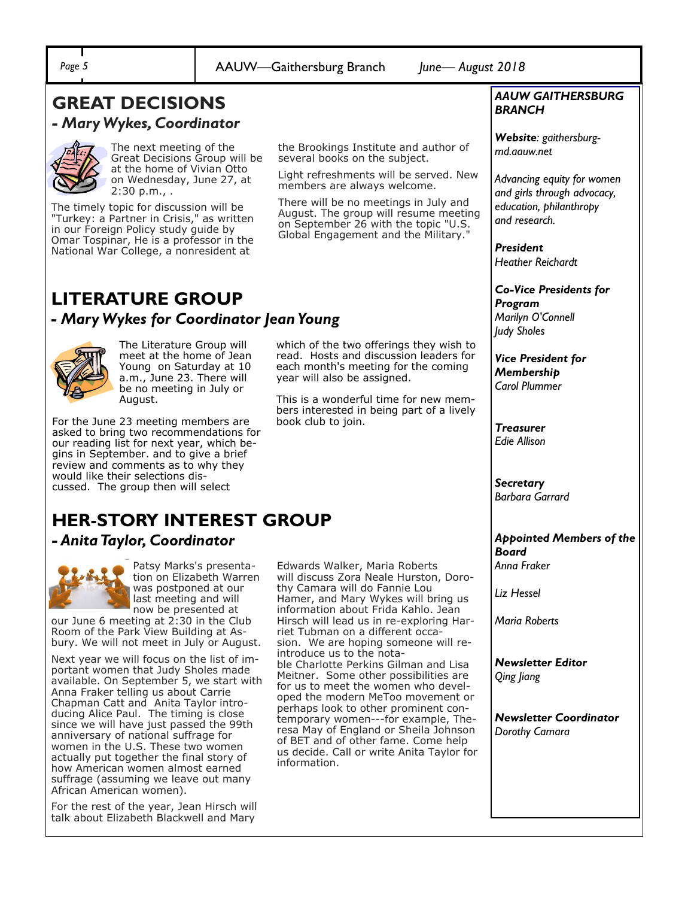*Page 5* AAUW—Gaithersburg Branch *June— August 2018*

#### **GREAT DECISIONS**  *- Mary Wykes, Coordinator*



The next meeting of the Great Decisions Group will be at the home of Vivian Otto on Wednesday, June 27, at 2:30 p.m., .

The timely topic for discussion will be "Turkey: a Partner in Crisis," as written in our Foreign Policy study guide by Omar Tospinar, He is a professor in the National War College, a nonresident at

the Brookings Institute and author of several books on the subject.

Light refreshments will be served. New members are always welcome.

There will be no meetings in July and August. The group will resume meeting on September 26 with the topic "U.S. Global Engagement and the Military."

which of the two offerings they wish to read. Hosts and discussion leaders for each month's meeting for the coming

This is a wonderful time for new members interested in being part of a lively

year will also be assigned.

book club to join.

## **LITERATURE GROUP**

#### *- Mary Wykes for Coordinator Jean Young*



The Literature Group will meet at the home of Jean Young on Saturday at 10 a.m., June 23. There will be no meeting in July or August.

For the June 23 meeting members are asked to bring two recommendations for our reading list for next year, which begins in September. and to give a brief review and comments as to why they would like their selections discussed. The group then will select

## **HER-STORY INTEREST GROUP**

#### *- Anita Taylor, Coordinator*



Patsy Marks's presentation on Elizabeth Warren was postponed at our last meeting and will now be presented at

our June 6 meeting at 2:30 in the Club Room of the Park View Building at Asbury. We will not meet in July or August.

Next year we will focus on the list of important women that Judy Sholes made available. On September 5, we start with Anna Fraker telling us about Carrie Chapman Catt and Anita Taylor introducing Alice Paul. The timing is close since we will have just passed the 99th anniversary of national suffrage for women in the U.S. These two women actually put together the final story of how American women almost earned suffrage (assuming we leave out many African American women).

For the rest of the year, Jean Hirsch will talk about Elizabeth Blackwell and Mary

Edwards Walker, Maria Roberts will discuss Zora Neale Hurston, Dorothy Camara will do Fannie Lou Hamer, and Mary Wykes will bring us information about Frida Kahlo. Jean Hirsch will lead us in re-exploring Harriet Tubman on a different occasion. We are hoping someone will reintroduce us to the notable Charlotte Perkins Gilman and Lisa Meitner. Some other possibilities are for us to meet the women who developed the modern MeToo movement or perhaps look to other prominent contemporary women---for example, Theresa May of England or Sheila Johnson of BET and of other fame. Come help us decide. Call or write Anita Taylor for information.

#### *AAUW GAITHERSBURG BRANCH*

*Website: gaithersburgmd.aauw.net* 

*Advancing equity for women and girls through advocacy, education, philanthropy and research.*

*President Heather Reichardt*

*Co-Vice Presidents for Program*

*Marilyn O'Connell Judy Sholes*

*Vice President for Membership Carol Plummer*

*Treasurer Edie Allison*

*Secretary Barbara Garrard*

### *Appointed Members of the Board*

*Anna Fraker*

*Liz Hessel*

*Maria Roberts*

*Newsletter Editor Qing Jiang*

*Newsletter Coordinator Dorothy Camara*